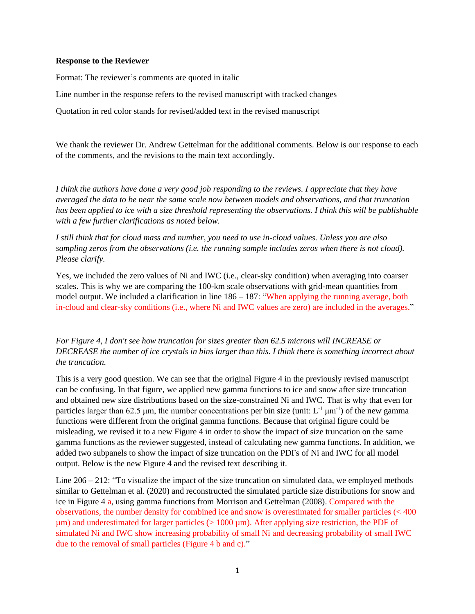## **Response to the Reviewer**

Format: The reviewer's comments are quoted in italic

Line number in the response refers to the revised manuscript with tracked changes

Quotation in red color stands for revised/added text in the revised manuscript

We thank the reviewer Dr. Andrew Gettelman for the additional comments. Below is our response to each of the comments, and the revisions to the main text accordingly.

*I think the authors have done a very good job responding to the reviews. I appreciate that they have averaged the data to be near the same scale now between models and observations, and that truncation has been applied to ice with a size threshold representing the observations. I think this will be publishable with a few further clarifications as noted below.*

*I still think that for cloud mass and number, you need to use in-cloud values. Unless you are also sampling zeros from the observations (i.e. the running sample includes zeros when there is not cloud). Please clarify.*

Yes, we included the zero values of Ni and IWC (i.e., clear-sky condition) when averaging into coarser scales. This is why we are comparing the 100-km scale observations with grid-mean quantities from model output. We included a clarification in line  $186 - 187$ : "When applying the running average, both in-cloud and clear-sky conditions (i.e., where Ni and IWC values are zero) are included in the averages."

*For Figure 4, I don't see how truncation for sizes greater than 62.5 microns will INCREASE or DECREASE the number of ice crystals in bins larger than this. I think there is something incorrect about the truncation.*

This is a very good question. We can see that the original Figure 4 in the previously revised manuscript can be confusing. In that figure, we applied new gamma functions to ice and snow after size truncation and obtained new size distributions based on the size-constrained Ni and IWC. That is why that even for particles larger than 62.5  $\mu$ m, the number concentrations per bin size (unit: L<sup>-1</sup>  $\mu$ m<sup>-1</sup>) of the new gamma functions were different from the original gamma functions. Because that original figure could be misleading, we revised it to a new Figure 4 in order to show the impact of size truncation on the same gamma functions as the reviewer suggested, instead of calculating new gamma functions. In addition, we added two subpanels to show the impact of size truncation on the PDFs of Ni and IWC for all model output. Below is the new Figure 4 and the revised text describing it.

Line 206 – 212: "To visualize the impact of the size truncation on simulated data, we employed methods similar to Gettelman et al. (2020) and reconstructed the simulated particle size distributions for snow and ice in Figure 4 a, using gamma functions from Morrison and Gettelman (2008). Compared with the observations, the number density for combined ice and snow is overestimated for smaller particles (< 400  $\mu$ m) and underestimated for larger particles ( $> 1000 \mu$ m). After applying size restriction, the PDF of simulated Ni and IWC show increasing probability of small Ni and decreasing probability of small IWC due to the removal of small particles (Figure 4 b and c)."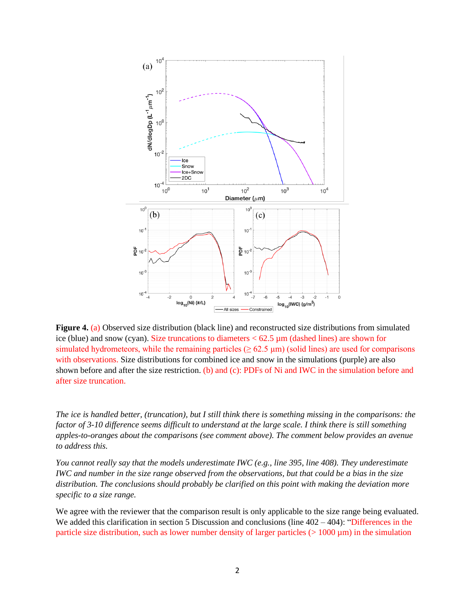

**Figure 4.** (a) Observed size distribution (black line) and reconstructed size distributions from simulated ice (blue) and snow (cyan). Size truncations to diameters  $< 62.5 \mu m$  (dashed lines) are shown for simulated hydrometeors, while the remaining particles ( $\geq 62.5 \,\mu$ m) (solid lines) are used for comparisons with observations. Size distributions for combined ice and snow in the simulations (purple) are also shown before and after the size restriction. (b) and (c): PDFs of Ni and IWC in the simulation before and after size truncation.

*The ice is handled better, (truncation), but I still think there is something missing in the comparisons: the factor of 3-10 difference seems difficult to understand at the large scale. I think there is still something apples-to-oranges about the comparisons (see comment above). The comment below provides an avenue to address this.*

*You cannot really say that the models underestimate IWC (e.g., line 395, line 408). They underestimate IWC and number in the size range observed from the observations, but that could be a bias in the size distribution. The conclusions should probably be clarified on this point with making the deviation more specific to a size range.*

We agree with the reviewer that the comparison result is only applicable to the size range being evaluated. We added this clarification in section 5 Discussion and conclusions (line  $402 - 404$ ): "Differences in the particle size distribution, such as lower number density of larger particles ( $> 1000 \,\mu$ m) in the simulation